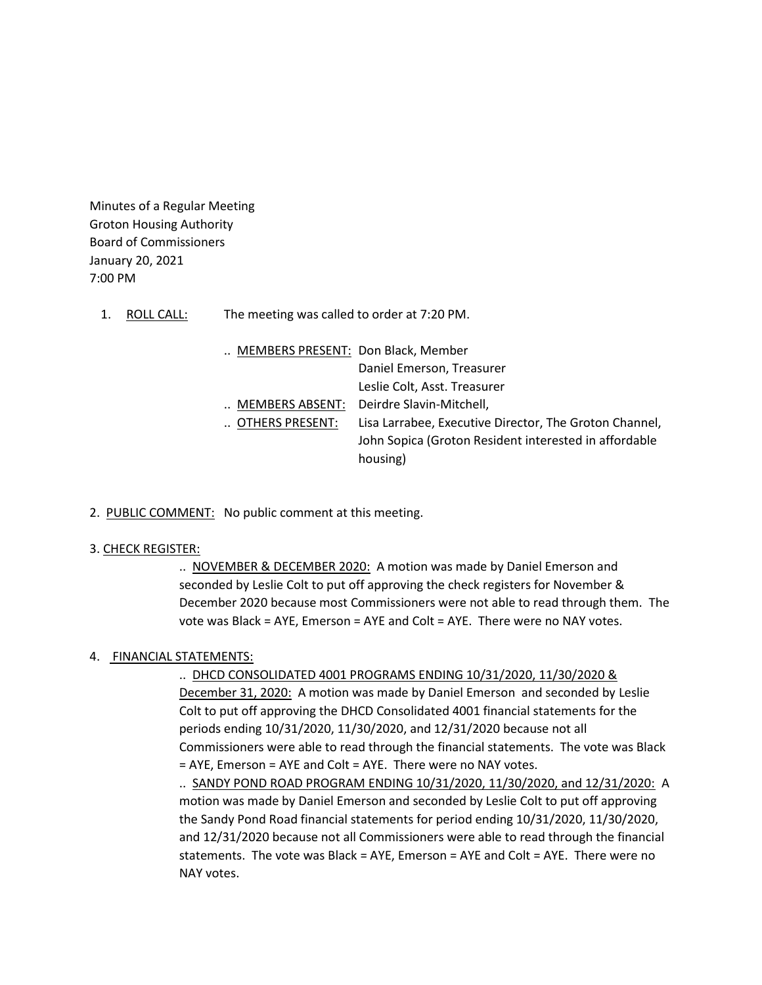Minutes of a Regular Meeting Groton Housing Authority Board of Commissioners January 20, 2021 7:00 PM

- 1. ROLL CALL: The meeting was called to order at 7:20 PM.
	- .. MEMBERS PRESENT: Don Black, Member Daniel Emerson, Treasurer Leslie Colt, Asst. Treasurer .. MEMBERS ABSENT: Deirdre Slavin-Mitchell, .. OTHERS PRESENT: Lisa Larrabee, Executive Director, The Groton Channel, John Sopica (Groton Resident interested in affordable housing)
- 2. PUBLIC COMMENT: No public comment at this meeting.

#### 3. CHECK REGISTER:

.. NOVEMBER & DECEMBER 2020: A motion was made by Daniel Emerson and seconded by Leslie Colt to put off approving the check registers for November & December 2020 because most Commissioners were not able to read through them. The vote was Black = AYE, Emerson = AYE and Colt = AYE. There were no NAY votes.

# 4. FINANCIAL STATEMENTS:

# .. DHCD CONSOLIDATED 4001 PROGRAMS ENDING 10/31/2020, 11/30/2020 &

December 31, 2020: A motion was made by Daniel Emerson and seconded by Leslie Colt to put off approving the DHCD Consolidated 4001 financial statements for the periods ending 10/31/2020, 11/30/2020, and 12/31/2020 because not all Commissioners were able to read through the financial statements. The vote was Black = AYE, Emerson = AYE and Colt = AYE. There were no NAY votes.

.. SANDY POND ROAD PROGRAM ENDING 10/31/2020, 11/30/2020, and 12/31/2020: A motion was made by Daniel Emerson and seconded by Leslie Colt to put off approving the Sandy Pond Road financial statements for period ending 10/31/2020, 11/30/2020, and 12/31/2020 because not all Commissioners were able to read through the financial statements. The vote was Black = AYE, Emerson = AYE and Colt = AYE. There were no NAY votes.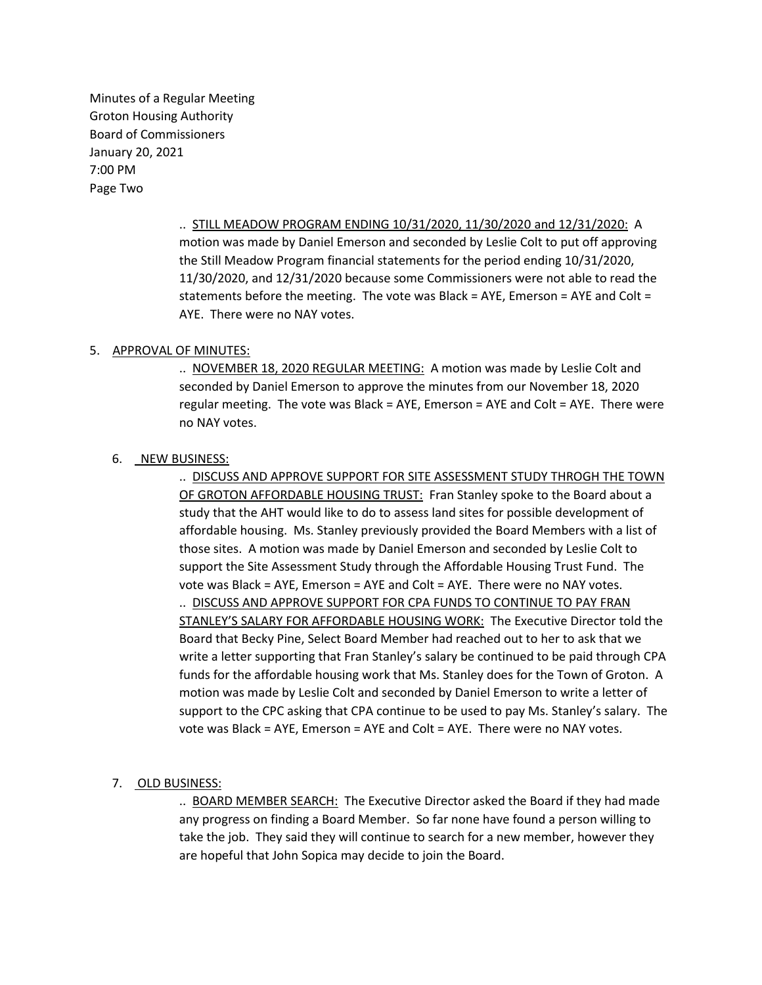Minutes of a Regular Meeting Groton Housing Authority Board of Commissioners January 20, 2021 7:00 PM Page Two

> .. STILL MEADOW PROGRAM ENDING 10/31/2020, 11/30/2020 and 12/31/2020: A motion was made by Daniel Emerson and seconded by Leslie Colt to put off approving the Still Meadow Program financial statements for the period ending 10/31/2020, 11/30/2020, and 12/31/2020 because some Commissioners were not able to read the statements before the meeting. The vote was Black = AYE, Emerson = AYE and Colt = AYE. There were no NAY votes.

## 5. APPROVAL OF MINUTES:

.. NOVEMBER 18, 2020 REGULAR MEETING: A motion was made by Leslie Colt and seconded by Daniel Emerson to approve the minutes from our November 18, 2020 regular meeting. The vote was Black = AYE, Emerson = AYE and Colt = AYE. There were no NAY votes.

### 6. NEW BUSINESS:

.. DISCUSS AND APPROVE SUPPORT FOR SITE ASSESSMENT STUDY THROGH THE TOWN OF GROTON AFFORDABLE HOUSING TRUST: Fran Stanley spoke to the Board about a study that the AHT would like to do to assess land sites for possible development of affordable housing. Ms. Stanley previously provided the Board Members with a list of those sites. A motion was made by Daniel Emerson and seconded by Leslie Colt to support the Site Assessment Study through the Affordable Housing Trust Fund. The vote was Black = AYE, Emerson = AYE and Colt = AYE. There were no NAY votes. .. DISCUSS AND APPROVE SUPPORT FOR CPA FUNDS TO CONTINUE TO PAY FRAN STANLEY'S SALARY FOR AFFORDABLE HOUSING WORK: The Executive Director told the Board that Becky Pine, Select Board Member had reached out to her to ask that we write a letter supporting that Fran Stanley's salary be continued to be paid through CPA funds for the affordable housing work that Ms. Stanley does for the Town of Groton. A motion was made by Leslie Colt and seconded by Daniel Emerson to write a letter of support to the CPC asking that CPA continue to be used to pay Ms. Stanley's salary. The vote was Black = AYE, Emerson = AYE and Colt = AYE. There were no NAY votes.

# 7. OLD BUSINESS:

.. BOARD MEMBER SEARCH: The Executive Director asked the Board if they had made any progress on finding a Board Member. So far none have found a person willing to take the job. They said they will continue to search for a new member, however they are hopeful that John Sopica may decide to join the Board.